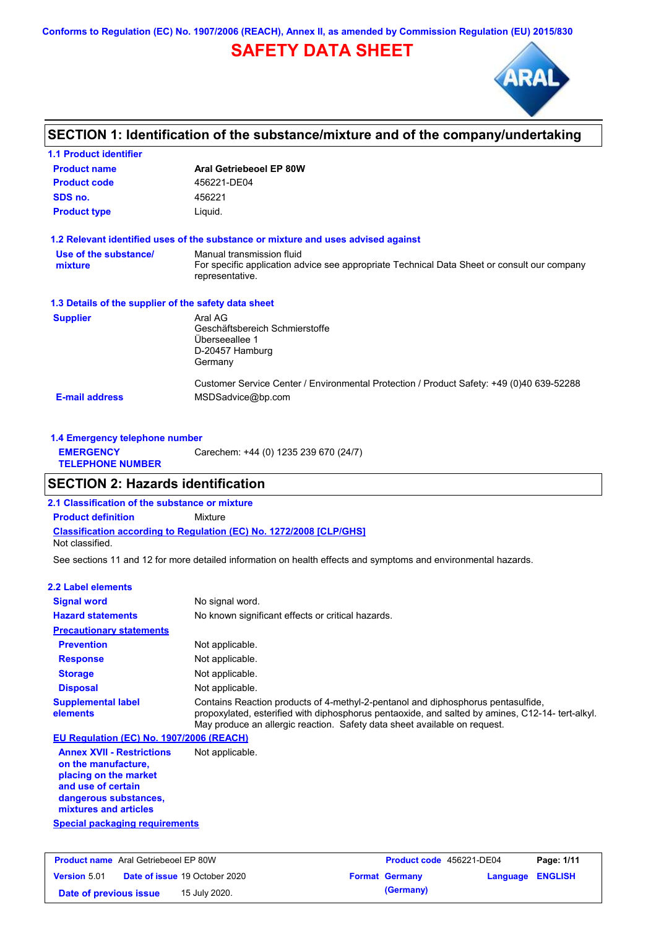**Conforms to Regulation (EC) No. 1907/2006 (REACH), Annex II, as amended by Commission Regulation (EU) 2015/830**

# **SAFETY DATA SHEET**



## **SECTION 1: Identification of the substance/mixture and of the company/undertaking**

| Aral Getriebeoel EP 80W                                                                                                                     |  |  |  |
|---------------------------------------------------------------------------------------------------------------------------------------------|--|--|--|
| 456221-DE04                                                                                                                                 |  |  |  |
| 456221                                                                                                                                      |  |  |  |
| Liquid.                                                                                                                                     |  |  |  |
| 1.2 Relevant identified uses of the substance or mixture and uses advised against                                                           |  |  |  |
| Manual transmission fluid<br>For specific application advice see appropriate Technical Data Sheet or consult our company<br>representative. |  |  |  |
| 1.3 Details of the supplier of the safety data sheet                                                                                        |  |  |  |
| Aral AG<br>Geschäftsbereich Schmierstoffe<br>Überseeallee 1<br>D-20457 Hamburg<br>Germany                                                   |  |  |  |
| Customer Service Center / Environmental Protection / Product Safety: +49 (0)40 639-52288<br>MSDSadvice@bp.com                               |  |  |  |
|                                                                                                                                             |  |  |  |

| 1.4 Emergency telephone number              |                                       |  |
|---------------------------------------------|---------------------------------------|--|
| <b>EMERGENCY</b><br><b>TELEPHONE NUMBER</b> | Carechem: +44 (0) 1235 239 670 (24/7) |  |

## **SECTION 2: Hazards identification**

**2.1 Classification of the substance or mixture**

**Classification according to Regulation (EC) No. 1272/2008 [CLP/GHS] Product definition** Mixture

Not classified.

See sections 11 and 12 for more detailed information on health effects and symptoms and environmental hazards.

### **2.2 Label elements**

| <b>Signal word</b>                                                                                                                                       | No signal word.                                                                                                                                                                                                                                                  |
|----------------------------------------------------------------------------------------------------------------------------------------------------------|------------------------------------------------------------------------------------------------------------------------------------------------------------------------------------------------------------------------------------------------------------------|
| <b>Hazard statements</b>                                                                                                                                 | No known significant effects or critical hazards.                                                                                                                                                                                                                |
| <b>Precautionary statements</b>                                                                                                                          |                                                                                                                                                                                                                                                                  |
| <b>Prevention</b>                                                                                                                                        | Not applicable.                                                                                                                                                                                                                                                  |
| <b>Response</b>                                                                                                                                          | Not applicable.                                                                                                                                                                                                                                                  |
| <b>Storage</b>                                                                                                                                           | Not applicable.                                                                                                                                                                                                                                                  |
| <b>Disposal</b>                                                                                                                                          | Not applicable.                                                                                                                                                                                                                                                  |
| <b>Supplemental label</b><br>elements                                                                                                                    | Contains Reaction products of 4-methyl-2-pentanol and diphosphorus pentasulfide,<br>propoxylated, esterified with diphosphorus pentaoxide, and salted by amines, C12-14-tert-alkyl.<br>May produce an allergic reaction. Safety data sheet available on request. |
| EU Regulation (EC) No. 1907/2006 (REACH)                                                                                                                 |                                                                                                                                                                                                                                                                  |
| <b>Annex XVII - Restrictions</b><br>on the manufacture.<br>placing on the market<br>and use of certain<br>dangerous substances,<br>mixtures and articles | Not applicable.                                                                                                                                                                                                                                                  |

**Special packaging requirements**

| <b>Product name</b> Aral Getriebeoel EP 80W |  | <b>Product code</b> 456221-DE04      |  | Page: 1/11            |                         |  |
|---------------------------------------------|--|--------------------------------------|--|-----------------------|-------------------------|--|
| <b>Version 5.01</b>                         |  | <b>Date of issue 19 October 2020</b> |  | <b>Format Germany</b> | <b>Language ENGLISH</b> |  |
| Date of previous issue                      |  | 15 July 2020.                        |  | (Germany)             |                         |  |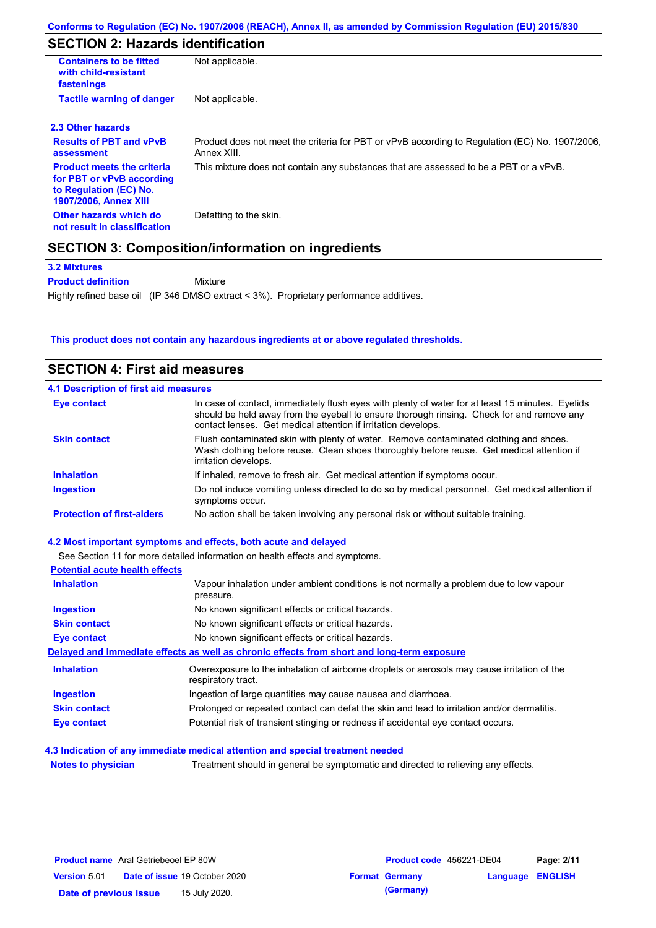# **SECTION 2: Hazards identification**

| <b>Containers to be fitted</b><br>with child-resistant<br>fastenings                                                     | Not applicable.                                                                                               |
|--------------------------------------------------------------------------------------------------------------------------|---------------------------------------------------------------------------------------------------------------|
| <b>Tactile warning of danger</b>                                                                                         | Not applicable.                                                                                               |
| 2.3 Other hazards                                                                                                        |                                                                                                               |
| <b>Results of PBT and vPvB</b><br>assessment                                                                             | Product does not meet the criteria for PBT or vPvB according to Regulation (EC) No. 1907/2006,<br>Annex XIII. |
| <b>Product meets the criteria</b><br>for PBT or vPvB according<br>to Regulation (EC) No.<br><b>1907/2006, Annex XIII</b> | This mixture does not contain any substances that are assessed to be a PBT or a vPvB.                         |
| Other hazards which do<br>not result in classification                                                                   | Defatting to the skin.                                                                                        |

**3.2 Mixtures**

**Product definition**

Mixture

Highly refined base oil (IP 346 DMSO extract < 3%). Proprietary performance additives.

### **This product does not contain any hazardous ingredients at or above regulated thresholds.**

| <b>SECTION 4: First aid measures</b>  |                                                                                                                                                                                                                                                                |
|---------------------------------------|----------------------------------------------------------------------------------------------------------------------------------------------------------------------------------------------------------------------------------------------------------------|
| 4.1 Description of first aid measures |                                                                                                                                                                                                                                                                |
| <b>Eye contact</b>                    | In case of contact, immediately flush eyes with plenty of water for at least 15 minutes. Eyelids<br>should be held away from the eyeball to ensure thorough rinsing. Check for and remove any<br>contact lenses. Get medical attention if irritation develops. |
| <b>Skin contact</b>                   | Flush contaminated skin with plenty of water. Remove contaminated clothing and shoes.<br>Wash clothing before reuse. Clean shoes thoroughly before reuse. Get medical attention if<br>irritation develops.                                                     |
| <b>Inhalation</b>                     | If inhaled, remove to fresh air. Get medical attention if symptoms occur.                                                                                                                                                                                      |
| <b>Ingestion</b>                      | Do not induce vomiting unless directed to do so by medical personnel. Get medical attention if<br>symptoms occur.                                                                                                                                              |
| <b>Protection of first-aiders</b>     | No action shall be taken involving any personal risk or without suitable training.                                                                                                                                                                             |
|                                       | 4.2 Most important symptoms and effects, both acute and delayed                                                                                                                                                                                                |
|                                       | See Section 11 for more detailed information on health effects and symptoms.                                                                                                                                                                                   |
| <b>Potential acute health effects</b> |                                                                                                                                                                                                                                                                |
| <b>Inhalation</b>                     | Vapour inhalation under ambient conditions is not normally a problem due to low vapour<br>pressure.                                                                                                                                                            |
| <b>Ingestion</b>                      | No known significant effects or critical hazards.                                                                                                                                                                                                              |
| <b>Skin contact</b>                   | No known significant effects or critical hazards.                                                                                                                                                                                                              |
| <b>Eye contact</b>                    | No known significant effects or critical hazards.                                                                                                                                                                                                              |
|                                       | Delaved and immediate effects as well as chronic effects from short and long-term exposure                                                                                                                                                                     |
| <b>Inhalation</b>                     | Overexposure to the inhalation of airborne droplets or aerosols may cause irritation of the<br>respiratory tract.                                                                                                                                              |
| <b>Ingestion</b>                      | Ingestion of large quantities may cause nausea and diarrhoea.                                                                                                                                                                                                  |
| <b>Skin contact</b>                   | Prolonged or repeated contact can defat the skin and lead to irritation and/or dermatitis.                                                                                                                                                                     |

**Eye contact** Potential risk of transient stinging or redness if accidental eye contact occurs.

### **4.3 Indication of any immediate medical attention and special treatment needed**

**Notes to physician** Treatment should in general be symptomatic and directed to relieving any effects.

| <b>Product name</b> Aral Getriebeoel EP 80W |  | Product code 456221-DE04             |  | Page: 2/11            |                  |  |
|---------------------------------------------|--|--------------------------------------|--|-----------------------|------------------|--|
| <b>Version 5.01</b>                         |  | <b>Date of issue 19 October 2020</b> |  | <b>Format Germany</b> | Language ENGLISH |  |
| Date of previous issue                      |  | 15 July 2020.                        |  | (Germany)             |                  |  |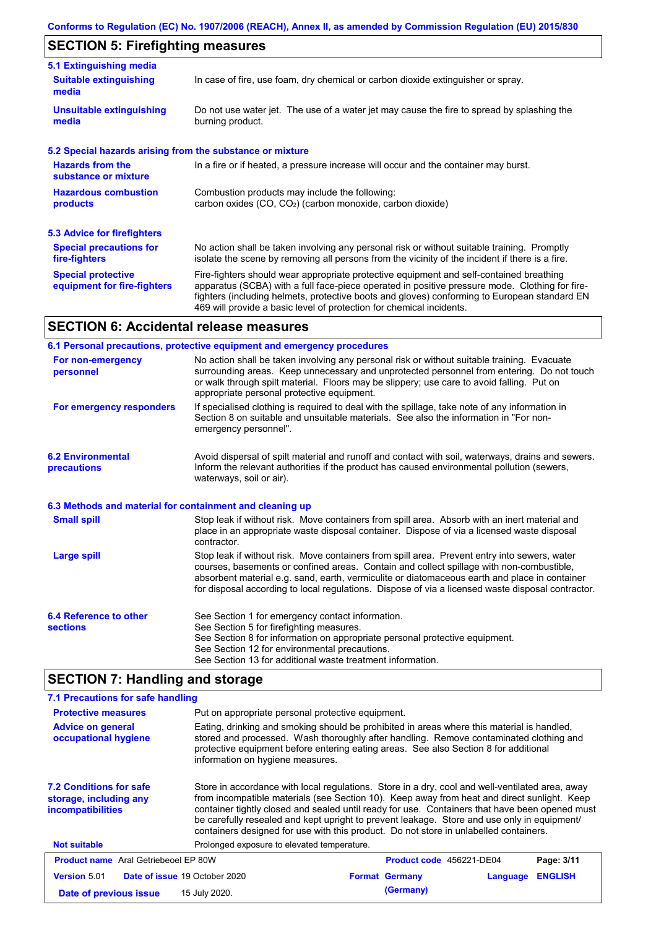# **SECTION 5: Firefighting measures**

| 5.1 Extinguishing media                                   |                                                                                                                                                                                                                                                                                                                                                                   |
|-----------------------------------------------------------|-------------------------------------------------------------------------------------------------------------------------------------------------------------------------------------------------------------------------------------------------------------------------------------------------------------------------------------------------------------------|
| <b>Suitable extinguishing</b><br>media                    | In case of fire, use foam, dry chemical or carbon dioxide extinguisher or spray.                                                                                                                                                                                                                                                                                  |
| <b>Unsuitable extinguishing</b><br>media                  | Do not use water jet. The use of a water jet may cause the fire to spread by splashing the<br>burning product.                                                                                                                                                                                                                                                    |
| 5.2 Special hazards arising from the substance or mixture |                                                                                                                                                                                                                                                                                                                                                                   |
| <b>Hazards from the</b><br>substance or mixture           | In a fire or if heated, a pressure increase will occur and the container may burst.                                                                                                                                                                                                                                                                               |
| <b>Hazardous combustion</b><br>products                   | Combustion products may include the following:<br>carbon oxides $(CO, CO2)$ (carbon monoxide, carbon dioxide)                                                                                                                                                                                                                                                     |
| 5.3 Advice for firefighters                               |                                                                                                                                                                                                                                                                                                                                                                   |
| <b>Special precautions for</b><br>fire-fighters           | No action shall be taken involving any personal risk or without suitable training. Promptly<br>isolate the scene by removing all persons from the vicinity of the incident if there is a fire.                                                                                                                                                                    |
| <b>Special protective</b><br>equipment for fire-fighters  | Fire-fighters should wear appropriate protective equipment and self-contained breathing<br>apparatus (SCBA) with a full face-piece operated in positive pressure mode. Clothing for fire-<br>fighters (including helmets, protective boots and gloves) conforming to European standard EN<br>469 will provide a basic level of protection for chemical incidents. |

# **SECTION 6: Accidental release measures**

|                                                          | 6.1 Personal precautions, protective equipment and emergency procedures                                                                                                                                                                                                                                                                                                                        |
|----------------------------------------------------------|------------------------------------------------------------------------------------------------------------------------------------------------------------------------------------------------------------------------------------------------------------------------------------------------------------------------------------------------------------------------------------------------|
| For non-emergency<br>personnel                           | No action shall be taken involving any personal risk or without suitable training. Evacuate<br>surrounding areas. Keep unnecessary and unprotected personnel from entering. Do not touch<br>or walk through spilt material. Floors may be slippery; use care to avoid falling. Put on<br>appropriate personal protective equipment.                                                            |
| For emergency responders                                 | If specialised clothing is required to deal with the spillage, take note of any information in<br>Section 8 on suitable and unsuitable materials. See also the information in "For non-<br>emergency personnel".                                                                                                                                                                               |
| <b>6.2 Environmental</b><br>precautions                  | Avoid dispersal of spilt material and runoff and contact with soil, waterways, drains and sewers.<br>Inform the relevant authorities if the product has caused environmental pollution (sewers,<br>waterways, soil or air).                                                                                                                                                                    |
| 6.3 Methods and material for containment and cleaning up |                                                                                                                                                                                                                                                                                                                                                                                                |
| <b>Small spill</b>                                       | Stop leak if without risk. Move containers from spill area. Absorb with an inert material and<br>place in an appropriate waste disposal container. Dispose of via a licensed waste disposal<br>contractor.                                                                                                                                                                                     |
| Large spill                                              | Stop leak if without risk. Move containers from spill area. Prevent entry into sewers, water<br>courses, basements or confined areas. Contain and collect spillage with non-combustible,<br>absorbent material e.g. sand, earth, vermiculite or diatomaceous earth and place in container<br>for disposal according to local regulations. Dispose of via a licensed waste disposal contractor. |
| 6.4 Reference to other<br><b>sections</b>                | See Section 1 for emergency contact information.<br>See Section 5 for firefighting measures.<br>See Section 8 for information on appropriate personal protective equipment.<br>See Section 12 for environmental precautions.<br>See Section 13 for additional waste treatment information.                                                                                                     |

# **SECTION 7: Handling and storage**

| 7.1 Precautions for safe handling                                             |                                             |                                                                                                                                                                                                                                                                                                                                                                                                                                                                                         |          |                |
|-------------------------------------------------------------------------------|---------------------------------------------|-----------------------------------------------------------------------------------------------------------------------------------------------------------------------------------------------------------------------------------------------------------------------------------------------------------------------------------------------------------------------------------------------------------------------------------------------------------------------------------------|----------|----------------|
| <b>Protective measures</b>                                                    |                                             | Put on appropriate personal protective equipment.                                                                                                                                                                                                                                                                                                                                                                                                                                       |          |                |
| <b>Advice on general</b><br>occupational hygiene                              |                                             | Eating, drinking and smoking should be prohibited in areas where this material is handled.<br>stored and processed. Wash thoroughly after handling. Remove contaminated clothing and<br>protective equipment before entering eating areas. See also Section 8 for additional<br>information on hygiene measures.                                                                                                                                                                        |          |                |
| <b>7.2 Conditions for safe</b><br>storage, including any<br>incompatibilities |                                             | Store in accordance with local regulations. Store in a dry, cool and well-ventilated area, away<br>from incompatible materials (see Section 10). Keep away from heat and direct sunlight. Keep<br>container tightly closed and sealed until ready for use. Containers that have been opened must<br>be carefully resealed and kept upright to prevent leakage. Store and use only in equipment<br>containers designed for use with this product. Do not store in unlabelled containers. |          |                |
| <b>Not suitable</b>                                                           | Prolonged exposure to elevated temperature. |                                                                                                                                                                                                                                                                                                                                                                                                                                                                                         |          |                |
| <b>Product name</b> Aral Getriebeoel EP 80W                                   |                                             | <b>Product code</b> 456221-DE04                                                                                                                                                                                                                                                                                                                                                                                                                                                         |          | Page: 3/11     |
| <b>Version 5.01</b>                                                           | <b>Date of issue 19 October 2020</b>        | <b>Format Germany</b>                                                                                                                                                                                                                                                                                                                                                                                                                                                                   | Language | <b>ENGLISH</b> |
| Date of previous issue                                                        | 15 July 2020.                               | (Germany)                                                                                                                                                                                                                                                                                                                                                                                                                                                                               |          |                |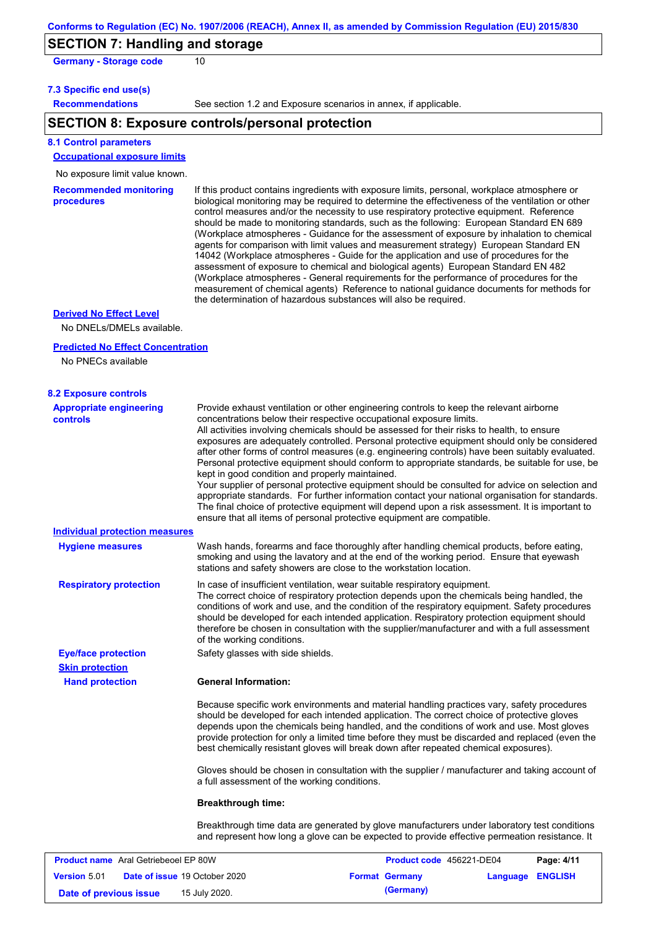### **SECTION 7: Handling and storage**

Germany - Storage code 10

#### **7.3 Specific end use(s)**

**Recommendations**

See section 1.2 and Exposure scenarios in annex, if applicable.

### **SECTION 8: Exposure controls/personal protection**

#### **8.1 Control parameters**

**Occupational exposure limits**

#### No exposure limit value known.

**Recommended monitoring procedures** If this product contains ingredients with exposure limits, personal, workplace atmosphere or biological monitoring may be required to determine the effectiveness of the ventilation or other control measures and/or the necessity to use respiratory protective equipment. Reference should be made to monitoring standards, such as the following: European Standard EN 689 (Workplace atmospheres - Guidance for the assessment of exposure by inhalation to chemical agents for comparison with limit values and measurement strategy) European Standard EN 14042 (Workplace atmospheres - Guide for the application and use of procedures for the assessment of exposure to chemical and biological agents) European Standard EN 482 (Workplace atmospheres - General requirements for the performance of procedures for the measurement of chemical agents) Reference to national guidance documents for methods for the determination of hazardous substances will also be required.

### **Derived No Effect Level**

No DNELs/DMELs available.

#### **Predicted No Effect Concentration**

No PNECs available

**Version** 5.01

| <b>8.2 Exposure controls</b><br><b>Appropriate engineering</b> | Provide exhaust ventilation or other engineering controls to keep the relevant airborne                                                                                                                                                                                                                                                                                                                                                                                                                                                                                                                                                                                                                                                                                                                                                                                                                      |
|----------------------------------------------------------------|--------------------------------------------------------------------------------------------------------------------------------------------------------------------------------------------------------------------------------------------------------------------------------------------------------------------------------------------------------------------------------------------------------------------------------------------------------------------------------------------------------------------------------------------------------------------------------------------------------------------------------------------------------------------------------------------------------------------------------------------------------------------------------------------------------------------------------------------------------------------------------------------------------------|
| <b>controls</b>                                                | concentrations below their respective occupational exposure limits.<br>All activities involving chemicals should be assessed for their risks to health, to ensure<br>exposures are adequately controlled. Personal protective equipment should only be considered<br>after other forms of control measures (e.g. engineering controls) have been suitably evaluated.<br>Personal protective equipment should conform to appropriate standards, be suitable for use, be<br>kept in good condition and properly maintained.<br>Your supplier of personal protective equipment should be consulted for advice on selection and<br>appropriate standards. For further information contact your national organisation for standards.<br>The final choice of protective equipment will depend upon a risk assessment. It is important to<br>ensure that all items of personal protective equipment are compatible. |
| <b>Individual protection measures</b>                          |                                                                                                                                                                                                                                                                                                                                                                                                                                                                                                                                                                                                                                                                                                                                                                                                                                                                                                              |
| <b>Hygiene measures</b>                                        | Wash hands, forearms and face thoroughly after handling chemical products, before eating,<br>smoking and using the lavatory and at the end of the working period. Ensure that eyewash<br>stations and safety showers are close to the workstation location.                                                                                                                                                                                                                                                                                                                                                                                                                                                                                                                                                                                                                                                  |
| <b>Respiratory protection</b>                                  | In case of insufficient ventilation, wear suitable respiratory equipment.<br>The correct choice of respiratory protection depends upon the chemicals being handled, the<br>conditions of work and use, and the condition of the respiratory equipment. Safety procedures<br>should be developed for each intended application. Respiratory protection equipment should<br>therefore be chosen in consultation with the supplier/manufacturer and with a full assessment<br>of the working conditions.                                                                                                                                                                                                                                                                                                                                                                                                        |
| <b>Eye/face protection</b>                                     | Safety glasses with side shields.                                                                                                                                                                                                                                                                                                                                                                                                                                                                                                                                                                                                                                                                                                                                                                                                                                                                            |
| <b>Skin protection</b>                                         |                                                                                                                                                                                                                                                                                                                                                                                                                                                                                                                                                                                                                                                                                                                                                                                                                                                                                                              |
| <b>Hand protection</b>                                         | <b>General Information:</b>                                                                                                                                                                                                                                                                                                                                                                                                                                                                                                                                                                                                                                                                                                                                                                                                                                                                                  |
|                                                                | Because specific work environments and material handling practices vary, safety procedures<br>should be developed for each intended application. The correct choice of protective gloves<br>depends upon the chemicals being handled, and the conditions of work and use. Most gloves<br>provide protection for only a limited time before they must be discarded and replaced (even the<br>best chemically resistant gloves will break down after repeated chemical exposures).                                                                                                                                                                                                                                                                                                                                                                                                                             |
|                                                                | Gloves should be chosen in consultation with the supplier / manufacturer and taking account of<br>a full assessment of the working conditions.                                                                                                                                                                                                                                                                                                                                                                                                                                                                                                                                                                                                                                                                                                                                                               |
|                                                                | <b>Breakthrough time:</b>                                                                                                                                                                                                                                                                                                                                                                                                                                                                                                                                                                                                                                                                                                                                                                                                                                                                                    |
|                                                                | Breakthrough time data are generated by glove manufacturers under laboratory test conditions<br>and represent how long a glove can be expected to provide effective permeation resistance. It                                                                                                                                                                                                                                                                                                                                                                                                                                                                                                                                                                                                                                                                                                                |
| <b>Product name</b> Aral Getriebeoel EP 80W                    | Product code 456221-DE04<br>Page: 4/11                                                                                                                                                                                                                                                                                                                                                                                                                                                                                                                                                                                                                                                                                                                                                                                                                                                                       |

**Date of issue** 19 October 2020 **Format Germany Language ENGLISH**

**Date of previous issue 15 July 2020. (Germany) (Germany)**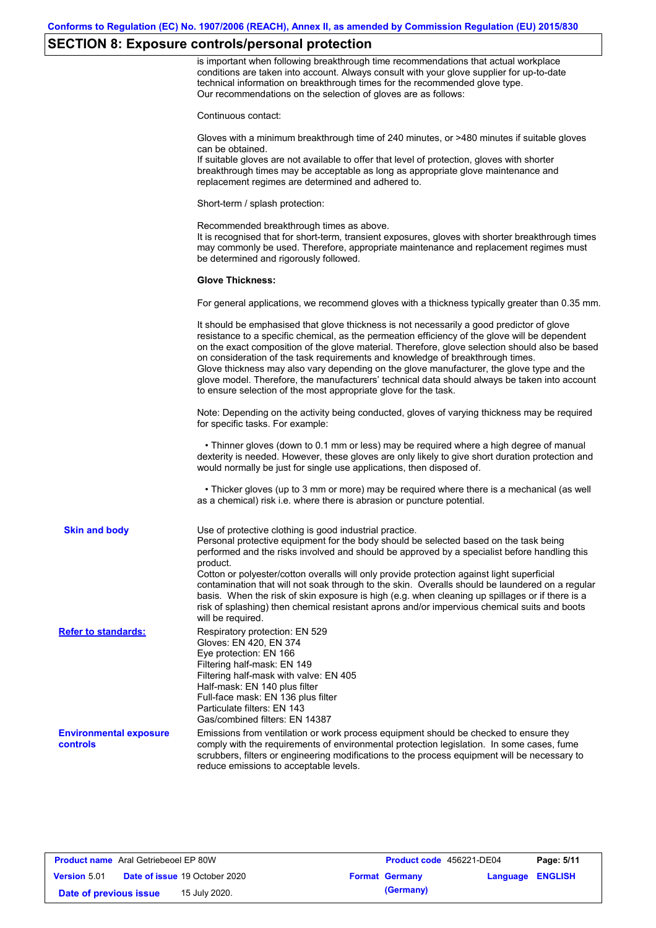# **SECTION 8: Exposure controls/personal protection**

|                                           | is important when following breakthrough time recommendations that actual workplace<br>conditions are taken into account. Always consult with your glove supplier for up-to-date<br>technical information on breakthrough times for the recommended glove type.<br>Our recommendations on the selection of gloves are as follows:                                                                                                                                                                                                                                                                                                                 |
|-------------------------------------------|---------------------------------------------------------------------------------------------------------------------------------------------------------------------------------------------------------------------------------------------------------------------------------------------------------------------------------------------------------------------------------------------------------------------------------------------------------------------------------------------------------------------------------------------------------------------------------------------------------------------------------------------------|
|                                           | Continuous contact:                                                                                                                                                                                                                                                                                                                                                                                                                                                                                                                                                                                                                               |
|                                           | Gloves with a minimum breakthrough time of 240 minutes, or >480 minutes if suitable gloves<br>can be obtained.<br>If suitable gloves are not available to offer that level of protection, gloves with shorter<br>breakthrough times may be acceptable as long as appropriate glove maintenance and<br>replacement regimes are determined and adhered to.                                                                                                                                                                                                                                                                                          |
|                                           | Short-term / splash protection:                                                                                                                                                                                                                                                                                                                                                                                                                                                                                                                                                                                                                   |
|                                           | Recommended breakthrough times as above.<br>It is recognised that for short-term, transient exposures, gloves with shorter breakthrough times<br>may commonly be used. Therefore, appropriate maintenance and replacement regimes must<br>be determined and rigorously followed.                                                                                                                                                                                                                                                                                                                                                                  |
|                                           | <b>Glove Thickness:</b>                                                                                                                                                                                                                                                                                                                                                                                                                                                                                                                                                                                                                           |
|                                           | For general applications, we recommend gloves with a thickness typically greater than 0.35 mm.                                                                                                                                                                                                                                                                                                                                                                                                                                                                                                                                                    |
|                                           | It should be emphasised that glove thickness is not necessarily a good predictor of glove<br>resistance to a specific chemical, as the permeation efficiency of the glove will be dependent<br>on the exact composition of the glove material. Therefore, glove selection should also be based<br>on consideration of the task requirements and knowledge of breakthrough times.<br>Glove thickness may also vary depending on the glove manufacturer, the glove type and the<br>glove model. Therefore, the manufacturers' technical data should always be taken into account<br>to ensure selection of the most appropriate glove for the task. |
|                                           | Note: Depending on the activity being conducted, gloves of varying thickness may be required<br>for specific tasks. For example:                                                                                                                                                                                                                                                                                                                                                                                                                                                                                                                  |
|                                           | • Thinner gloves (down to 0.1 mm or less) may be required where a high degree of manual<br>dexterity is needed. However, these gloves are only likely to give short duration protection and<br>would normally be just for single use applications, then disposed of.                                                                                                                                                                                                                                                                                                                                                                              |
|                                           | • Thicker gloves (up to 3 mm or more) may be required where there is a mechanical (as well<br>as a chemical) risk i.e. where there is abrasion or puncture potential.                                                                                                                                                                                                                                                                                                                                                                                                                                                                             |
| <b>Skin and body</b>                      | Use of protective clothing is good industrial practice.<br>Personal protective equipment for the body should be selected based on the task being<br>performed and the risks involved and should be approved by a specialist before handling this<br>product.                                                                                                                                                                                                                                                                                                                                                                                      |
|                                           | Cotton or polyester/cotton overalls will only provide protection against light superficial<br>contamination that will not soak through to the skin. Overalls should be laundered on a regular<br>basis. When the risk of skin exposure is high (e.g. when cleaning up spillages or if there is a<br>risk of splashing) then chemical resistant aprons and/or impervious chemical suits and boots<br>will be required.                                                                                                                                                                                                                             |
| <b>Refer to standards:</b>                | Respiratory protection: EN 529<br>Gloves: EN 420, EN 374<br>Eye protection: EN 166<br>Filtering half-mask: EN 149<br>Filtering half-mask with valve: EN 405<br>Half-mask: EN 140 plus filter<br>Full-face mask: EN 136 plus filter<br>Particulate filters: EN 143<br>Gas/combined filters: EN 14387                                                                                                                                                                                                                                                                                                                                               |
| <b>Environmental exposure</b><br>controls | Emissions from ventilation or work process equipment should be checked to ensure they<br>comply with the requirements of environmental protection legislation. In some cases, fume<br>scrubbers, filters or engineering modifications to the process equipment will be necessary to<br>reduce emissions to acceptable levels.                                                                                                                                                                                                                                                                                                                     |

| <b>Product name</b> Aral Getriebeoel EP 80W |  |                                      | <b>Product code</b> 456221-DE04 |                       | Page: 5/11              |  |
|---------------------------------------------|--|--------------------------------------|---------------------------------|-----------------------|-------------------------|--|
| <b>Version 5.01</b>                         |  | <b>Date of issue 19 October 2020</b> |                                 | <b>Format Germany</b> | <b>Language ENGLISH</b> |  |
| Date of previous issue                      |  | 15 July 2020.                        |                                 | (Germany)             |                         |  |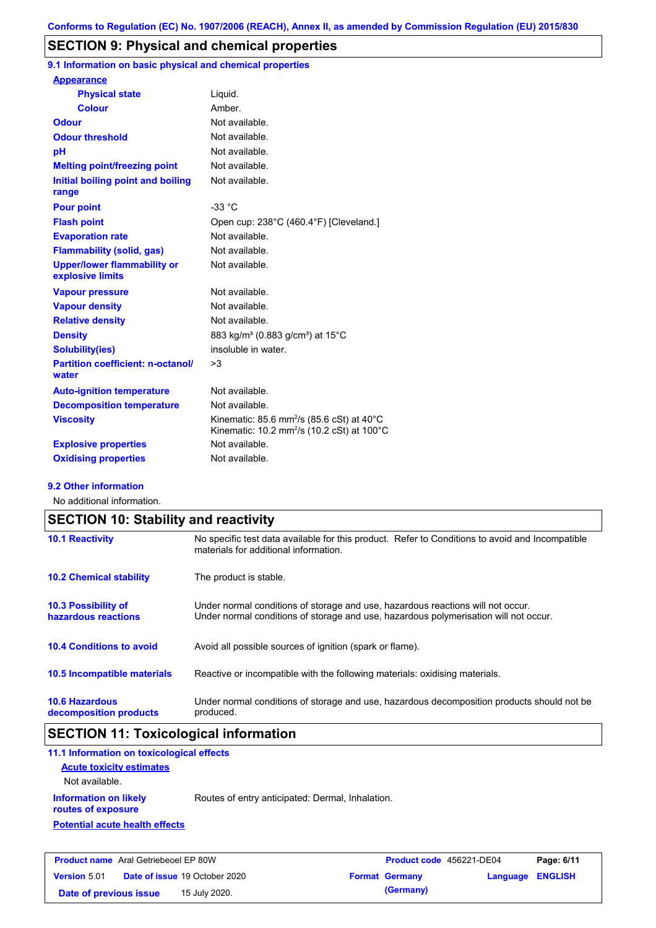## **SECTION 9: Physical and chemical properties**

**9.1 Information on basic physical and chemical properties**

| <b>Appearance</b>                                      |                                                                                                                            |
|--------------------------------------------------------|----------------------------------------------------------------------------------------------------------------------------|
| <b>Physical state</b>                                  | Liquid.                                                                                                                    |
| <b>Colour</b>                                          | Amber.                                                                                                                     |
| <b>Odour</b>                                           | Not available.                                                                                                             |
| <b>Odour threshold</b>                                 | Not available.                                                                                                             |
| pH                                                     | Not available.                                                                                                             |
| <b>Melting point/freezing point</b>                    | Not available.                                                                                                             |
| Initial boiling point and boiling<br>range             | Not available.                                                                                                             |
| <b>Pour point</b>                                      | $-33 °C$                                                                                                                   |
| <b>Flash point</b>                                     | Open cup: 238°C (460.4°F) [Cleveland.]                                                                                     |
| <b>Evaporation rate</b>                                | Not available.                                                                                                             |
| <b>Flammability (solid, gas)</b>                       | Not available.                                                                                                             |
| <b>Upper/lower flammability or</b><br>explosive limits | Not available.                                                                                                             |
| <b>Vapour pressure</b>                                 | Not available.                                                                                                             |
| <b>Vapour density</b>                                  | Not available.                                                                                                             |
| <b>Relative density</b>                                | Not available.                                                                                                             |
| <b>Density</b>                                         | 883 kg/m <sup>3</sup> (0.883 g/cm <sup>3</sup> ) at 15°C                                                                   |
| <b>Solubility(ies)</b>                                 | insoluble in water.                                                                                                        |
| <b>Partition coefficient: n-octanol/</b><br>water      | >3                                                                                                                         |
| <b>Auto-ignition temperature</b>                       | Not available.                                                                                                             |
| <b>Decomposition temperature</b>                       | Not available.                                                                                                             |
| <b>Viscosity</b>                                       | Kinematic: 85.6 mm <sup>2</sup> /s (85.6 cSt) at 40 $^{\circ}$ C<br>Kinematic: 10.2 mm <sup>2</sup> /s (10.2 cSt) at 100°C |
| <b>Explosive properties</b>                            | Not available                                                                                                              |
| <b>Oxidising properties</b>                            | Not available.                                                                                                             |
|                                                        |                                                                                                                            |

### **9.2 Other information**

No additional information.

| <b>SECTION 10: Stability and reactivity</b>       |                                                                                                                                                                         |  |  |  |
|---------------------------------------------------|-------------------------------------------------------------------------------------------------------------------------------------------------------------------------|--|--|--|
| <b>10.1 Reactivity</b>                            | No specific test data available for this product. Refer to Conditions to avoid and Incompatible<br>materials for additional information.                                |  |  |  |
| <b>10.2 Chemical stability</b>                    | The product is stable.                                                                                                                                                  |  |  |  |
| <b>10.3 Possibility of</b><br>hazardous reactions | Under normal conditions of storage and use, hazardous reactions will not occur.<br>Under normal conditions of storage and use, hazardous polymerisation will not occur. |  |  |  |
| <b>10.4 Conditions to avoid</b>                   | Avoid all possible sources of ignition (spark or flame).                                                                                                                |  |  |  |
| <b>10.5 Incompatible materials</b>                | Reactive or incompatible with the following materials: oxidising materials.                                                                                             |  |  |  |
| <b>10.6 Hazardous</b><br>decomposition products   | Under normal conditions of storage and use, hazardous decomposition products should not be<br>produced.                                                                 |  |  |  |

# **SECTION 11: Toxicological information**

| $\blacksquare$ $\blacksquare$ $\blacksquare$ $\blacksquare$ $\blacksquare$ $\blacksquare$ $\blacksquare$ $\blacksquare$ $\blacksquare$ $\blacksquare$ $\blacksquare$ $\blacksquare$ $\blacksquare$ $\blacksquare$ $\blacksquare$ $\blacksquare$ $\blacksquare$ $\blacksquare$ $\blacksquare$ $\blacksquare$ $\blacksquare$ $\blacksquare$ $\blacksquare$ $\blacksquare$ $\blacksquare$ $\blacksquare$ $\blacksquare$ $\blacksquare$ $\blacksquare$ $\blacksquare$ $\blacksquare$ $\blacks$ |                                                  | $\blacksquare$ $\blacksquare$ $\blacksquare$ $\blacksquare$ $\blacksquare$ $\blacksquare$ $\blacksquare$ $\blacksquare$ $\blacksquare$ $\blacksquare$ $\blacksquare$ $\blacksquare$ $\blacksquare$ $\blacksquare$ $\blacksquare$ $\blacksquare$ $\blacksquare$ $\blacksquare$ $\blacksquare$ $\blacksquare$ $\blacksquare$ $\blacksquare$ $\blacksquare$ $\blacksquare$ $\blacksquare$ $\blacksquare$ $\blacksquare$ $\blacksquare$ $\blacksquare$ $\blacksquare$ $\blacksquare$ $\blacks$ | - - |
|--------------------------------------------------------------------------------------------------------------------------------------------------------------------------------------------------------------------------------------------------------------------------------------------------------------------------------------------------------------------------------------------------------------------------------------------------------------------------------------------|--------------------------------------------------|--------------------------------------------------------------------------------------------------------------------------------------------------------------------------------------------------------------------------------------------------------------------------------------------------------------------------------------------------------------------------------------------------------------------------------------------------------------------------------------------|-----|
| <b>Potential acute health effects</b>                                                                                                                                                                                                                                                                                                                                                                                                                                                      |                                                  |                                                                                                                                                                                                                                                                                                                                                                                                                                                                                            |     |
| <b>Information on likely</b><br>routes of exposure                                                                                                                                                                                                                                                                                                                                                                                                                                         | Routes of entry anticipated: Dermal, Inhalation. |                                                                                                                                                                                                                                                                                                                                                                                                                                                                                            |     |
| Not available.                                                                                                                                                                                                                                                                                                                                                                                                                                                                             |                                                  |                                                                                                                                                                                                                                                                                                                                                                                                                                                                                            |     |
| <b>Acute toxicity estimates</b>                                                                                                                                                                                                                                                                                                                                                                                                                                                            |                                                  |                                                                                                                                                                                                                                                                                                                                                                                                                                                                                            |     |
| 11.1 Information on toxicological effects                                                                                                                                                                                                                                                                                                                                                                                                                                                  |                                                  |                                                                                                                                                                                                                                                                                                                                                                                                                                                                                            |     |

| <b>Product name</b> Aral Getriebeoel EP 80W |  |                                      | <b>Product code</b> 456221-DE04 |                       | Page: 6/11       |  |
|---------------------------------------------|--|--------------------------------------|---------------------------------|-----------------------|------------------|--|
| <b>Version 5.01</b>                         |  | <b>Date of issue 19 October 2020</b> |                                 | <b>Format Germany</b> | Language ENGLISH |  |
| Date of previous issue                      |  | 15 July 2020.                        |                                 | (Germany)             |                  |  |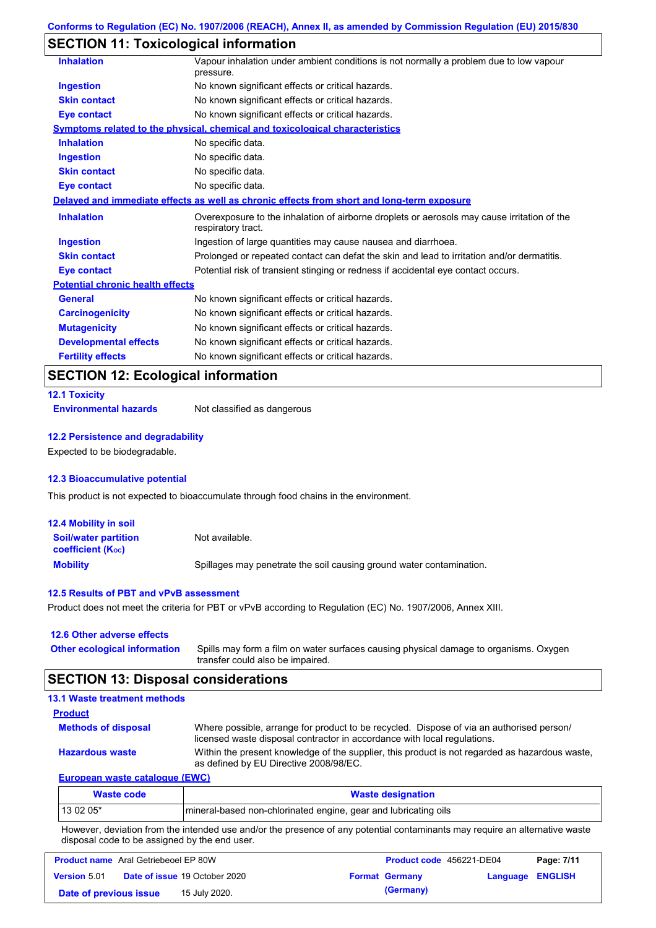## **SECTION 11: Toxicological information**

| <b>Inhalation</b>                       | Vapour inhalation under ambient conditions is not normally a problem due to low vapour<br>pressure.               |
|-----------------------------------------|-------------------------------------------------------------------------------------------------------------------|
| <b>Ingestion</b>                        | No known significant effects or critical hazards.                                                                 |
| <b>Skin contact</b>                     | No known significant effects or critical hazards.                                                                 |
| Eye contact                             | No known significant effects or critical hazards.                                                                 |
|                                         | <u>Symptoms related to the physical, chemical and toxicological characteristics</u>                               |
| <b>Inhalation</b>                       | No specific data.                                                                                                 |
| <b>Ingestion</b>                        | No specific data.                                                                                                 |
| <b>Skin contact</b>                     | No specific data.                                                                                                 |
| <b>Eye contact</b>                      | No specific data.                                                                                                 |
|                                         | Delayed and immediate effects as well as chronic effects from short and long-term exposure                        |
| <b>Inhalation</b>                       | Overexposure to the inhalation of airborne droplets or aerosols may cause irritation of the<br>respiratory tract. |
| <b>Ingestion</b>                        | Ingestion of large quantities may cause nausea and diarrhoea.                                                     |
| <b>Skin contact</b>                     | Prolonged or repeated contact can defat the skin and lead to irritation and/or dermatitis.                        |
| <b>Eye contact</b>                      | Potential risk of transient stinging or redness if accidental eye contact occurs.                                 |
| <b>Potential chronic health effects</b> |                                                                                                                   |
| <b>General</b>                          | No known significant effects or critical hazards.                                                                 |
| <b>Carcinogenicity</b>                  | No known significant effects or critical hazards.                                                                 |
| <b>Mutagenicity</b>                     | No known significant effects or critical hazards.                                                                 |
| <b>Developmental effects</b>            | No known significant effects or critical hazards.                                                                 |
| <b>Fertility effects</b>                | No known significant effects or critical hazards.                                                                 |

## **SECTION 12: Ecological information**

```
12.1 Toxicity
```
**Environmental hazards** Not classified as dangerous

### **12.2 Persistence and degradability**

Expected to be biodegradable.

### **12.3 Bioaccumulative potential**

This product is not expected to bioaccumulate through food chains in the environment.

| <b>12.4 Mobility in soil</b>                                  |                                                                      |
|---------------------------------------------------------------|----------------------------------------------------------------------|
| <b>Soil/water partition</b><br>coefficient (K <sub>oc</sub> ) | Not available.                                                       |
| <b>Mobility</b>                                               | Spillages may penetrate the soil causing ground water contamination. |

### **12.5 Results of PBT and vPvB assessment**

Product does not meet the criteria for PBT or vPvB according to Regulation (EC) No. 1907/2006, Annex XIII.

### **12.6 Other adverse effects**

| <b>Other ecological information</b> | Spills may form a film on water surfaces causing physical damage to organisms. Oxygen |
|-------------------------------------|---------------------------------------------------------------------------------------|
|                                     | transfer could also be impaired.                                                      |

## **SECTION 13: Disposal considerations**

| <b>Waste code</b>                   | <b>Waste designation</b>                                                                                                                                             |
|-------------------------------------|----------------------------------------------------------------------------------------------------------------------------------------------------------------------|
| European waste catalogue (EWC)      |                                                                                                                                                                      |
| <b>Hazardous waste</b>              | Within the present knowledge of the supplier, this product is not regarded as hazardous waste,<br>as defined by EU Directive 2008/98/EC.                             |
| <b>Methods of disposal</b>          | Where possible, arrange for product to be recycled. Dispose of via an authorised person/<br>licensed waste disposal contractor in accordance with local regulations. |
| <b>Product</b>                      |                                                                                                                                                                      |
| <b>13.1 Waste treatment methods</b> |                                                                                                                                                                      |

| <b>Waste code</b>                                                                                                                                                                                                              | <b>Waste designation</b>                                        |  |  |
|--------------------------------------------------------------------------------------------------------------------------------------------------------------------------------------------------------------------------------|-----------------------------------------------------------------|--|--|
| 13 02 05*                                                                                                                                                                                                                      | mineral-based non-chlorinated engine, gear and lubricating oils |  |  |
| The contract and the finite dependent considerst and contract and contracted and contracted and contract and all constitutions of the constitution of the constitution of the constitution of the constitution of the constitu |                                                                 |  |  |

However, deviation from the intended use and/or the presence of any potential contaminants may require an alternative waste disposal code to be assigned by the end user.

| <b>Product name</b> Aral Getriebeoel EP 80W |  |                                      | <b>Product code</b> 456221-DE04 |                       | Page: 7/11       |  |
|---------------------------------------------|--|--------------------------------------|---------------------------------|-----------------------|------------------|--|
| <b>Version 5.01</b>                         |  | <b>Date of issue 19 October 2020</b> |                                 | <b>Format Germany</b> | Language ENGLISH |  |
| Date of previous issue                      |  | 15 July 2020.                        |                                 | (Germany)             |                  |  |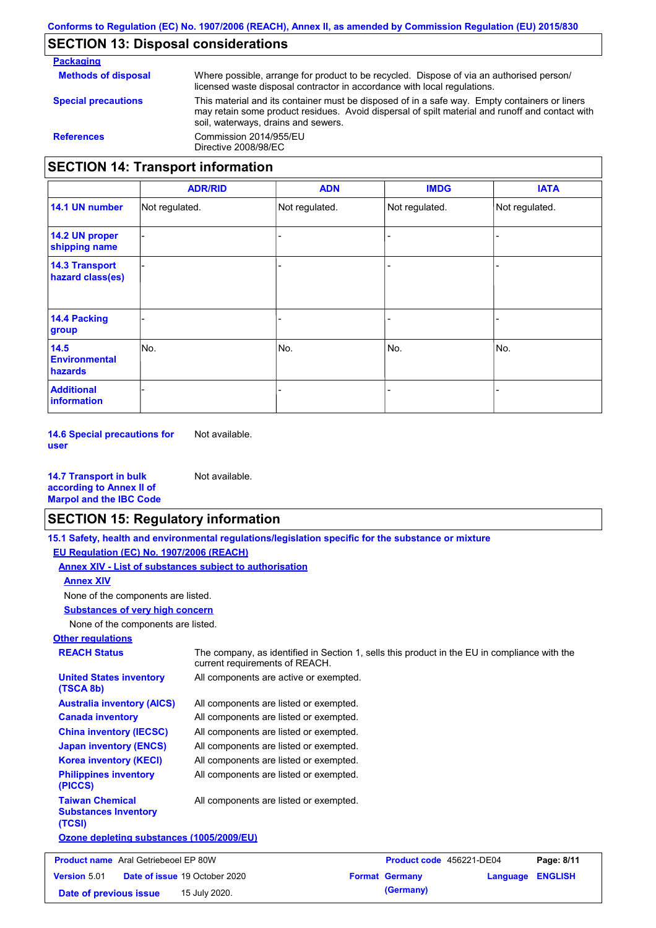### **SECTION 13: Disposal considerations**

**Packaging Methods of disposal Special precautions** Where possible, arrange for product to be recycled. Dispose of via an authorised person/ licensed waste disposal contractor in accordance with local regulations. This material and its container must be disposed of in a safe way. Empty containers or liners may retain some product residues. Avoid dispersal of spilt material and runoff and contact with soil, waterways, drains and sewers. **References** Commission 2014/955/EU Directive 2008/98/EC **SECTION 14: Transport information**

|                                           | <b>ADR/RID</b> | <b>ADN</b>     | <b>IMDG</b>    | <b>IATA</b>    |
|-------------------------------------------|----------------|----------------|----------------|----------------|
| 14.1 UN number                            | Not regulated. | Not regulated. | Not regulated. | Not regulated. |
| 14.2 UN proper<br>shipping name           |                |                | ۰              |                |
| <b>14.3 Transport</b><br>hazard class(es) |                |                | -              |                |
| <b>14.4 Packing</b><br>group              |                |                | ۰              |                |
| 14.5<br><b>Environmental</b><br>hazards   | No.            | No.            | No.            | No.            |
| <b>Additional</b><br><b>information</b>   |                |                |                |                |

**14.6 Special precautions for user** Not available.

**14.7 Transport in bulk according to Annex II of Marpol and the IBC Code** Not available.

### **SECTION 15: Regulatory information**

**15.1 Safety, health and environmental regulations/legislation specific for the substance or mixture**

**EU Regulation (EC) No. 1907/2006 (REACH)**

**Annex XIV - List of substances subject to authorisation**

**Annex XIV**

None of the components are listed.

**Substances of very high concern**

None of the components are listed.

## **Other regulations**

**REACH Status** The company, as identified in Section 1, sells this product in the EU in compliance with the current requirements of REACH. All components are listed or exempted. All components are listed or exempted. All components are listed or exempted. All components are listed or exempted. All components are active or exempted. All components are listed or exempted. **United States inventory (TSCA 8b) Australia inventory (AICS) Canada inventory China inventory (IECSC) Japan inventory (ENCS) Korea inventory (KECI)**

All components are listed or exempted. **Philippines inventory (PICCS) Taiwan Chemical Substances Inventory (TCSI)** All components are listed or exempted.

**Ozone depleting substances (1005/2009/EU)**

| <b>Product name</b> Aral Getriebeoel EP 80W |                                      | Product code 456221-DE04 |                         | Page: 8/11 |
|---------------------------------------------|--------------------------------------|--------------------------|-------------------------|------------|
| <b>Version 5.01</b>                         | <b>Date of issue 19 October 2020</b> | <b>Format Germany</b>    | <b>Language ENGLISH</b> |            |
| Date of previous issue                      | 15 July 2020.                        | (Germany)                |                         |            |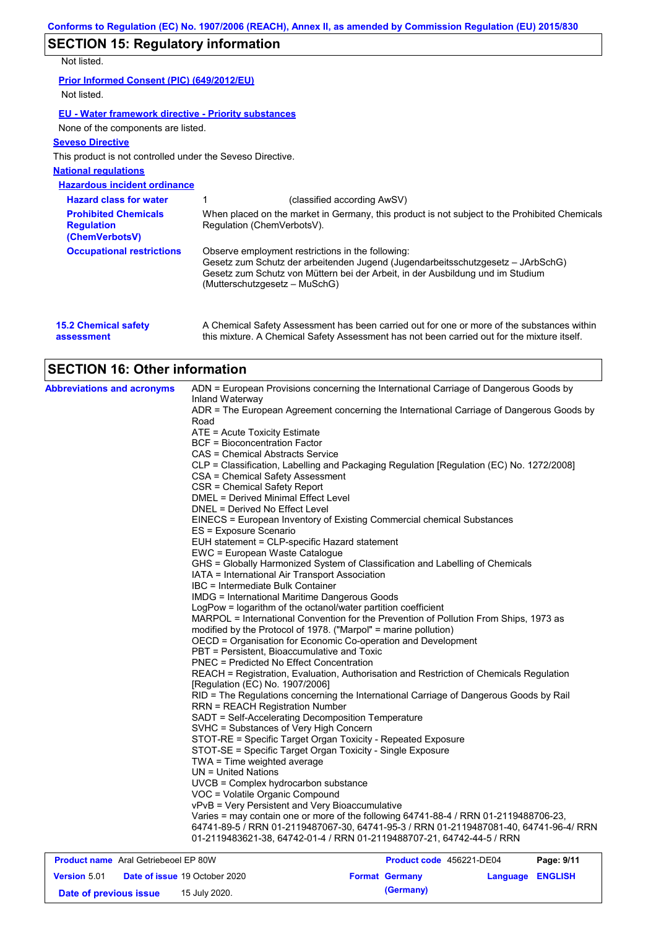# **SECTION 15: Regulatory information**

Not listed.

**Prior Informed Consent (PIC) (649/2012/EU)** Not listed.

### **EU - Water framework directive - Priority substances**

None of the components are listed.

### **Seveso Directive**

This product is not controlled under the Seveso Directive.

### **National regulations**

**Hazardous incident ordinance**

| <b>Hazard class for water</b>                                      | (classified according AwSV)                                                                                                                                                                                                                             |
|--------------------------------------------------------------------|---------------------------------------------------------------------------------------------------------------------------------------------------------------------------------------------------------------------------------------------------------|
| <b>Prohibited Chemicals</b><br><b>Regulation</b><br>(ChemVerbotsV) | When placed on the market in Germany, this product is not subject to the Prohibited Chemicals<br>Regulation (ChemVerbotsV).                                                                                                                             |
| <b>Occupational restrictions</b>                                   | Observe employment restrictions in the following:<br>Gesetz zum Schutz der arbeitenden Jugend (Jugendarbeitsschutzgesetz - JArbSchG)<br>Gesetz zum Schutz von Müttern bei der Arbeit, in der Ausbildung und im Studium<br>(Mutterschutzgesetz – MuSchG) |

| <b>15.2 Chemical safety</b> | A Chemical Safety Assessment has been carried out for one or more of the substances within  |
|-----------------------------|---------------------------------------------------------------------------------------------|
| assessment                  | this mixture. A Chemical Safety Assessment has not been carried out for the mixture itself. |

## **SECTION 16: Other information**

| <b>Abbreviations and acronyms</b> | ADN = European Provisions concerning the International Carriage of Dangerous Goods by<br>Inland Waterway                                                 |
|-----------------------------------|----------------------------------------------------------------------------------------------------------------------------------------------------------|
|                                   | ADR = The European Agreement concerning the International Carriage of Dangerous Goods by                                                                 |
|                                   | Road                                                                                                                                                     |
|                                   | ATE = Acute Toxicity Estimate                                                                                                                            |
|                                   | BCF = Bioconcentration Factor                                                                                                                            |
|                                   | CAS = Chemical Abstracts Service                                                                                                                         |
|                                   | CLP = Classification, Labelling and Packaging Regulation [Regulation (EC) No. 1272/2008]                                                                 |
|                                   | CSA = Chemical Safety Assessment                                                                                                                         |
|                                   | CSR = Chemical Safety Report                                                                                                                             |
|                                   | <b>DMEL = Derived Minimal Effect Level</b>                                                                                                               |
|                                   | DNEL = Derived No Effect Level                                                                                                                           |
|                                   | EINECS = European Inventory of Existing Commercial chemical Substances                                                                                   |
|                                   | ES = Exposure Scenario                                                                                                                                   |
|                                   | EUH statement = CLP-specific Hazard statement                                                                                                            |
|                                   | EWC = European Waste Catalogue                                                                                                                           |
|                                   | GHS = Globally Harmonized System of Classification and Labelling of Chemicals                                                                            |
|                                   | IATA = International Air Transport Association                                                                                                           |
|                                   | IBC = Intermediate Bulk Container                                                                                                                        |
|                                   | <b>IMDG = International Maritime Dangerous Goods</b>                                                                                                     |
|                                   | LogPow = logarithm of the octanol/water partition coefficient                                                                                            |
|                                   | MARPOL = International Convention for the Prevention of Pollution From Ships, 1973 as<br>modified by the Protocol of 1978. ("Marpol" = marine pollution) |
|                                   | OECD = Organisation for Economic Co-operation and Development                                                                                            |
|                                   | PBT = Persistent, Bioaccumulative and Toxic                                                                                                              |
|                                   | <b>PNEC = Predicted No Effect Concentration</b>                                                                                                          |
|                                   | REACH = Registration, Evaluation, Authorisation and Restriction of Chemicals Regulation                                                                  |
|                                   | [Regulation (EC) No. 1907/2006]                                                                                                                          |
|                                   | RID = The Regulations concerning the International Carriage of Dangerous Goods by Rail                                                                   |
|                                   | <b>RRN = REACH Registration Number</b>                                                                                                                   |
|                                   | SADT = Self-Accelerating Decomposition Temperature                                                                                                       |
|                                   | SVHC = Substances of Very High Concern                                                                                                                   |
|                                   | STOT-RE = Specific Target Organ Toxicity - Repeated Exposure                                                                                             |
|                                   | STOT-SE = Specific Target Organ Toxicity - Single Exposure                                                                                               |
|                                   | TWA = Time weighted average                                                                                                                              |
|                                   | $UN = United Nations$                                                                                                                                    |
|                                   | UVCB = Complex hydrocarbon substance                                                                                                                     |
|                                   | VOC = Volatile Organic Compound                                                                                                                          |
|                                   | vPvB = Very Persistent and Very Bioaccumulative                                                                                                          |
|                                   | Varies = may contain one or more of the following 64741-88-4 / RRN 01-2119488706-23,                                                                     |
|                                   | 64741-89-5 / RRN 01-2119487067-30, 64741-95-3 / RRN 01-2119487081-40, 64741-96-4/ RRN                                                                    |
|                                   | 01-2119483621-38, 64742-01-4 / RRN 01-2119488707-21, 64742-44-5 / RRN                                                                                    |

| <b>Product name</b> Aral Getriebeoel EP 80W |  |                                      | <b>Product code</b> 456221-DE04 |                  | Page: 9/11 |
|---------------------------------------------|--|--------------------------------------|---------------------------------|------------------|------------|
| <b>Version 5.01</b>                         |  | <b>Date of issue 19 October 2020</b> | <b>Format Germany</b>           | Language ENGLISH |            |
| Date of previous issue                      |  | 15 July 2020.                        | (Germany)                       |                  |            |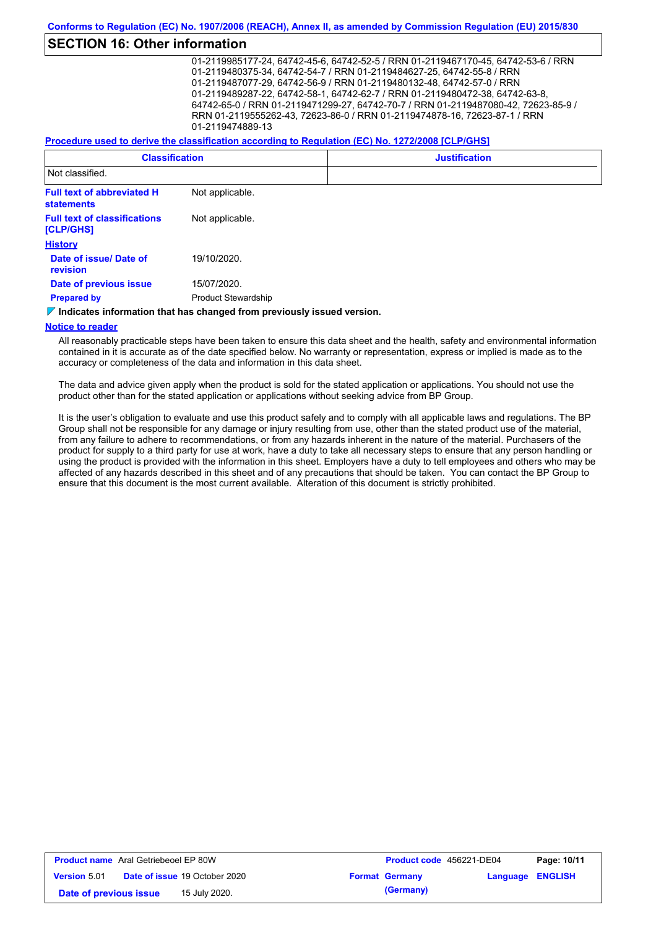## **SECTION 16: Other information**

01-2119985177-24, 64742-45-6, 64742-52-5 / RRN 01-2119467170-45, 64742-53-6 / RRN 01-2119480375-34, 64742-54-7 / RRN 01-2119484627-25, 64742-55-8 / RRN 01-2119487077-29, 64742-56-9 / RRN 01-2119480132-48, 64742-57-0 / RRN 01-2119489287-22, 64742-58-1, 64742-62-7 / RRN 01-2119480472-38, 64742-63-8, 64742-65-0 / RRN 01-2119471299-27, 64742-70-7 / RRN 01-2119487080-42, 72623-85-9 / RRN 01-2119555262-43, 72623-86-0 / RRN 01-2119474878-16, 72623-87-1 / RRN 01-2119474889-13

**Procedure used to derive the classification according to Regulation (EC) No. 1272/2008 [CLP/GHS]**

| <b>Classification</b>                            |                            | <b>Justification</b> |  |  |
|--------------------------------------------------|----------------------------|----------------------|--|--|
| Not classified.                                  |                            |                      |  |  |
| <b>Full text of abbreviated H</b><br>statements  | Not applicable.            |                      |  |  |
| <b>Full text of classifications</b><br>[CLP/GHS] | Not applicable.            |                      |  |  |
| <b>History</b>                                   |                            |                      |  |  |
| Date of issue/ Date of<br>revision               | 19/10/2020.                |                      |  |  |
| Date of previous issue                           | 15/07/2020.                |                      |  |  |
| <b>Prepared by</b>                               | <b>Product Stewardship</b> |                      |  |  |

*V* **Indicates information that has changed from previously issued version.** 

#### **Notice to reader**

All reasonably practicable steps have been taken to ensure this data sheet and the health, safety and environmental information contained in it is accurate as of the date specified below. No warranty or representation, express or implied is made as to the accuracy or completeness of the data and information in this data sheet.

The data and advice given apply when the product is sold for the stated application or applications. You should not use the product other than for the stated application or applications without seeking advice from BP Group.

It is the user's obligation to evaluate and use this product safely and to comply with all applicable laws and regulations. The BP Group shall not be responsible for any damage or injury resulting from use, other than the stated product use of the material, from any failure to adhere to recommendations, or from any hazards inherent in the nature of the material. Purchasers of the product for supply to a third party for use at work, have a duty to take all necessary steps to ensure that any person handling or using the product is provided with the information in this sheet. Employers have a duty to tell employees and others who may be affected of any hazards described in this sheet and of any precautions that should be taken. You can contact the BP Group to ensure that this document is the most current available. Alteration of this document is strictly prohibited.

| <b>Product name</b> Aral Getriebeoel EP 80W |                                      | Product code 456221-DE04 |                  | Page: 10/11 |
|---------------------------------------------|--------------------------------------|--------------------------|------------------|-------------|
| <b>Version 5.01</b>                         | <b>Date of issue 19 October 2020</b> | <b>Format Germany</b>    | Language ENGLISH |             |
| Date of previous issue                      | 15 July 2020.                        | (Germany)                |                  |             |